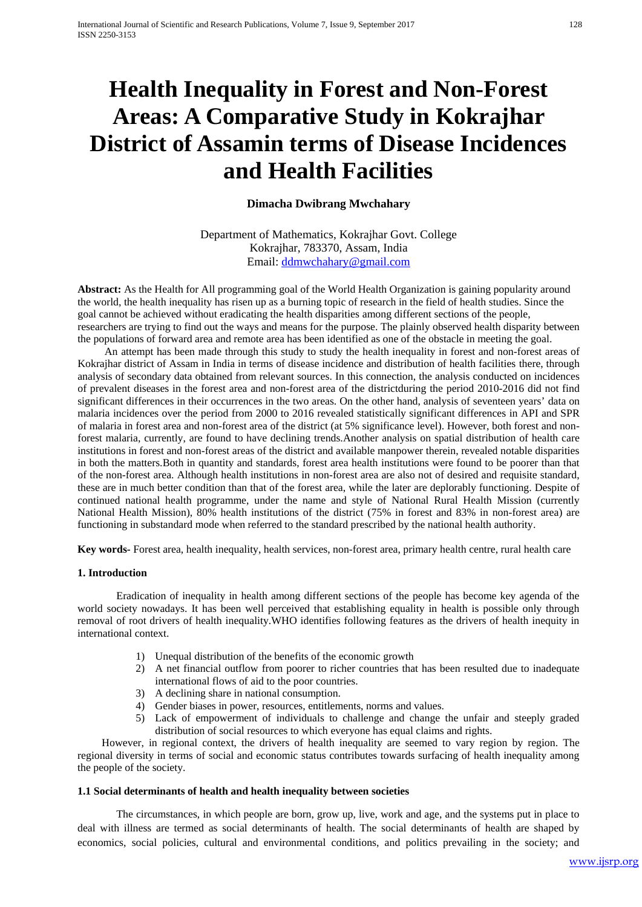# **Health Inequality in Forest and Non-Forest Areas: A Comparative Study in Kokrajhar District of Assamin terms of Disease Incidences and Health Facilities**

# **Dimacha Dwibrang Mwchahary**

Department of Mathematics, Kokrajhar Govt. College Kokrajhar, 783370, Assam, India Email: [ddmwchahary@gmail.com](mailto:ddmwchahary@gmail.com)

**Abstract:** As the Health for All programming goal of the World Health Organization is gaining popularity around the world, the health inequality has risen up as a burning topic of research in the field of health studies. Since the goal cannot be achieved without eradicating the health disparities among different sections of the people, researchers are trying to find out the ways and means for the purpose. The plainly observed health disparity between the populations of forward area and remote area has been identified as one of the obstacle in meeting the goal.

 An attempt has been made through this study to study the health inequality in forest and non-forest areas of Kokrajhar district of Assam in India in terms of disease incidence and distribution of health facilities there, through analysis of secondary data obtained from relevant sources. In this connection, the analysis conducted on incidences of prevalent diseases in the forest area and non-forest area of the districtduring the period 2010-2016 did not find significant differences in their occurrences in the two areas. On the other hand, analysis of seventeen years' data on malaria incidences over the period from 2000 to 2016 revealed statistically significant differences in API and SPR of malaria in forest area and non-forest area of the district (at 5% significance level). However, both forest and nonforest malaria, currently, are found to have declining trends.Another analysis on spatial distribution of health care institutions in forest and non-forest areas of the district and available manpower therein, revealed notable disparities in both the matters.Both in quantity and standards, forest area health institutions were found to be poorer than that of the non-forest area. Although health institutions in non-forest area are also not of desired and requisite standard, these are in much better condition than that of the forest area, while the later are deplorably functioning. Despite of continued national health programme, under the name and style of National Rural Health Mission (currently National Health Mission), 80% health institutions of the district (75% in forest and 83% in non-forest area) are functioning in substandard mode when referred to the standard prescribed by the national health authority.

**Key words-** Forest area, health inequality, health services, non-forest area, primary health centre, rural health care

# **1. Introduction**

Eradication of inequality in health among different sections of the people has become key agenda of the world society nowadays. It has been well perceived that establishing equality in health is possible only through removal of root drivers of health inequality.WHO identifies following features as the drivers of health inequity in international context.

- 1) Unequal distribution of the benefits of the economic growth
- 2) A net financial outflow from poorer to richer countries that has been resulted due to inadequate international flows of aid to the poor countries.
- 3) A declining share in national consumption.
- 4) Gender biases in power, resources, entitlements, norms and values.
- 5) Lack of empowerment of individuals to challenge and change the unfair and steeply graded distribution of social resources to which everyone has equal claims and rights.

However, in regional context, the drivers of health inequality are seemed to vary region by region. The regional diversity in terms of social and economic status contributes towards surfacing of health inequality among the people of the society.

## **1.1 Social determinants of health and health inequality between societies**

The circumstances, in which people are born, grow up, live, work and age, and the systems put in place to deal with illness are termed as social determinants of health. The social determinants of health are shaped by economics, social policies, cultural and environmental conditions, and politics prevailing in the society; and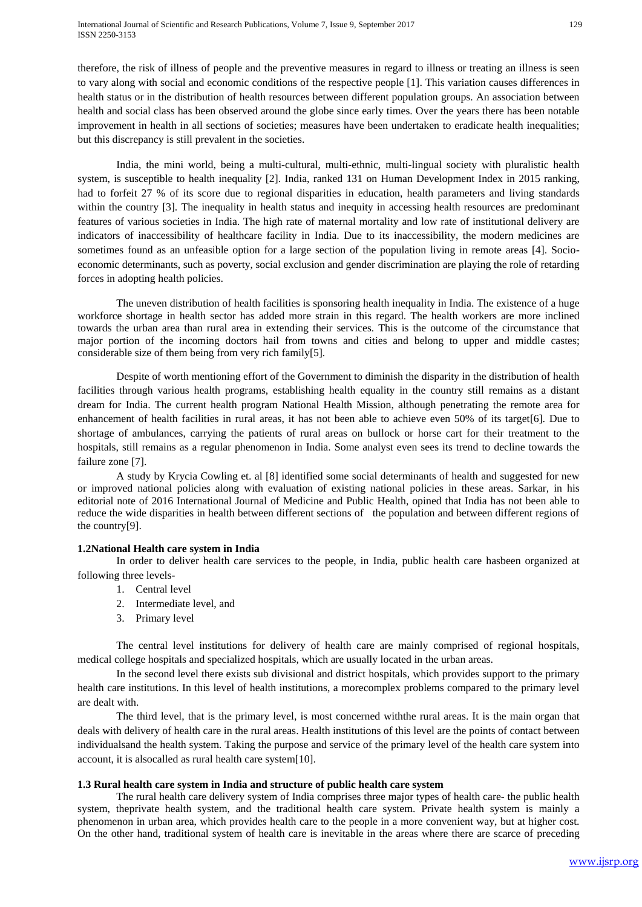therefore, the risk of illness of people and the preventive measures in regard to illness or treating an illness is seen to vary along with social and economic conditions of the respective people [1]. This variation causes differences in health status or in the distribution of health resources between different population groups. An association between health and social class has been observed around the globe since early times. Over the years there has been notable improvement in health in all sections of societies; measures have been undertaken to eradicate health inequalities; but this discrepancy is still prevalent in the societies.

India, the mini world, being a multi-cultural, multi-ethnic, multi-lingual society with pluralistic health system, is susceptible to health inequality [2]. India, ranked 131 on Human Development Index in 2015 ranking, had to forfeit 27 % of its score due to regional disparities in education, health parameters and living standards within the country [3]. The inequality in health status and inequity in accessing health resources are predominant features of various societies in India. The high rate of maternal mortality and low rate of institutional delivery are indicators of inaccessibility of healthcare facility in India. Due to its inaccessibility, the modern medicines are sometimes found as an unfeasible option for a large section of the population living in remote areas [4]. Socioeconomic determinants, such as poverty, social exclusion and gender discrimination are playing the role of retarding forces in adopting health policies.

The uneven distribution of health facilities is sponsoring health inequality in India. The existence of a huge workforce shortage in health sector has added more strain in this regard. The health workers are more inclined towards the urban area than rural area in extending their services. This is the outcome of the circumstance that major portion of the incoming doctors hail from towns and cities and belong to upper and middle castes; considerable size of them being from very rich family[5].

Despite of worth mentioning effort of the Government to diminish the disparity in the distribution of health facilities through various health programs, establishing health equality in the country still remains as a distant dream for India. The current health program National Health Mission, although penetrating the remote area for enhancement of health facilities in rural areas, it has not been able to achieve even 50% of its target[6]. Due to shortage of ambulances, carrying the patients of rural areas on bullock or horse cart for their treatment to the hospitals, still remains as a regular phenomenon in India. Some analyst even sees its trend to decline towards the failure zone [7].

A study by Krycia Cowling et. al [8] identified some social determinants of health and suggested for new or improved national policies along with evaluation of existing national policies in these areas. Sarkar, in his editorial note of 2016 International Journal of Medicine and Public Health, opined that India has not been able to reduce the wide disparities in health between different sections of the population and between different regions of the country[9].

## **1.2National Health care system in India**

In order to deliver health care services to the people, in India, public health care hasbeen organized at following three levels-

- 1. Central level
- 2. Intermediate level, and
- 3. Primary level

The central level institutions for delivery of health care are mainly comprised of regional hospitals, medical college hospitals and specialized hospitals, which are usually located in the urban areas.

In the second level there exists sub divisional and district hospitals, which provides support to the primary health care institutions. In this level of health institutions, a morecomplex problems compared to the primary level are dealt with.

The third level, that is the primary level, is most concerned withthe rural areas. It is the main organ that deals with delivery of health care in the rural areas. Health institutions of this level are the points of contact between individualsand the health system. Taking the purpose and service of the primary level of the health care system into account, it is alsocalled as rural health care system[10].

## **1.3 Rural health care system in India and structure of public health care system**

The rural health care delivery system of India comprises three major types of health care- the public health system, theprivate health system, and the traditional health care system. Private health system is mainly a phenomenon in urban area, which provides health care to the people in a more convenient way, but at higher cost. On the other hand, traditional system of health care is inevitable in the areas where there are scarce of preceding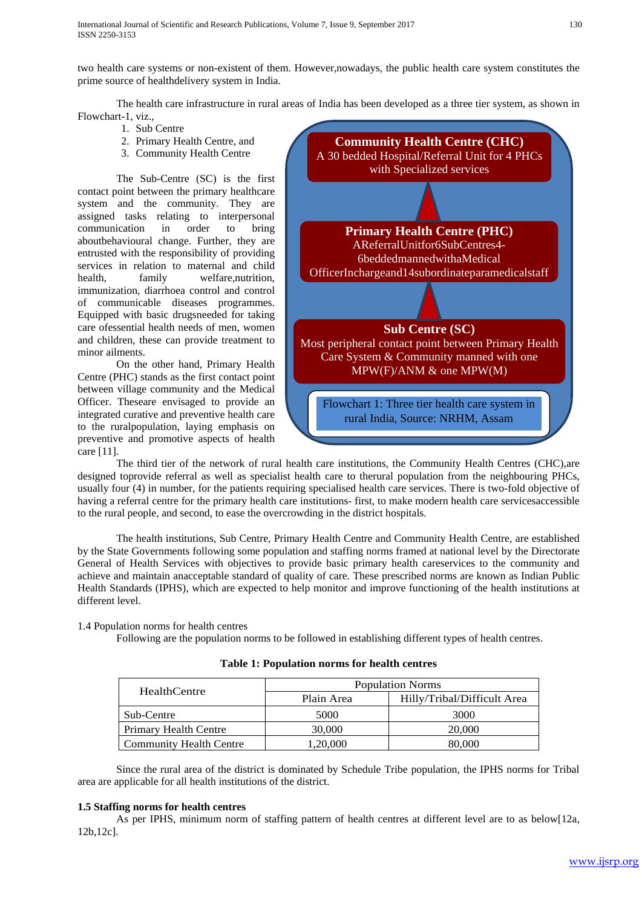two health care systems or non-existent of them. However,nowadays, the public health care system constitutes the prime source of healthdelivery system in India.

The health care infrastructure in rural areas of India has been developed as a three tier system, as shown in Flowchart-1, viz.,

- 1. Sub Centre
- 2. Primary Health Centre, and
- 3. Community Health Centre

The Sub-Centre (SC) is the first contact point between the primary healthcare system and the community. They are assigned tasks relating to interpersonal communication in order to bring aboutbehavioural change. Further, they are entrusted with the responsibility of providing services in relation to maternal and child health, family welfare, nutrition, immunization, diarrhoea control and control of communicable diseases programmes. Equipped with basic drugsneeded for taking care ofessential health needs of men, women and children, these can provide treatment to minor ailments.

On the other hand, Primary Health Centre (PHC) stands as the first contact point between village community and the Medical Officer. Theseare envisaged to provide an integrated curative and preventive health care to the ruralpopulation, laying emphasis on preventive and promotive aspects of health care [11].



The third tier of the network of rural health care institutions, the Community Health Centres (CHC),are designed toprovide referral as well as specialist health care to therural population from the neighbouring PHCs, usually four (4) in number, for the patients requiring specialised health care services. There is two-fold objective of having a referral centre for the primary health care institutions- first, to make modern health care servicesaccessible to the rural people, and second, to ease the overcrowding in the district hospitals.

The health institutions, Sub Centre, Primary Health Centre and Community Health Centre, are established by the State Governments following some population and staffing norms framed at national level by the Directorate General of Health Services with objectives to provide basic primary health careservices to the community and achieve and maintain anacceptable standard of quality of care. These prescribed norms are known as Indian Public Health Standards (IPHS), which are expected to help monitor and improve functioning of the health institutions at different level.

1.4 Population norms for health centres

Following are the population norms to be followed in establishing different types of health centres.

| <b>HealthCentre</b>            | <b>Population Norms</b> |                             |  |  |  |  |  |  |
|--------------------------------|-------------------------|-----------------------------|--|--|--|--|--|--|
|                                | Plain Area              | Hilly/Tribal/Difficult Area |  |  |  |  |  |  |
| Sub-Centre                     | 5000                    | 3000                        |  |  |  |  |  |  |
| Primary Health Centre          | 30,000                  | 20,000                      |  |  |  |  |  |  |
| <b>Community Health Centre</b> | 1,20,000                | 80,000                      |  |  |  |  |  |  |

## **Table 1: Population norms for health centres**

Since the rural area of the district is dominated by Schedule Tribe population, the IPHS norms for Tribal area are applicable for all health institutions of the district.

# **1.5 Staffing norms for health centres**

As per IPHS, minimum norm of staffing pattern of health centres at different level are to as below[12a, 12b,12c].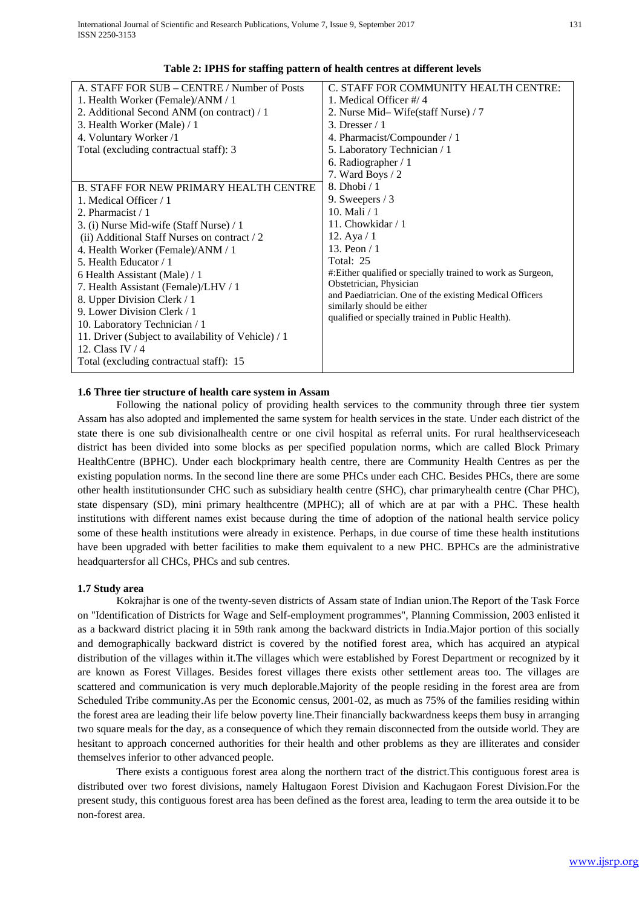| A. STAFF FOR SUB – CENTRE / Number of Posts<br>1. Health Worker (Female)/ANM / 1<br>2. Additional Second ANM (on contract) / 1<br>3. Health Worker (Male) / 1<br>4. Voluntary Worker /1<br>Total (excluding contractual staff): 3                                                                                                                                                                                                                                                                           | C. STAFF FOR COMMUNITY HEALTH CENTRE:<br>1. Medical Officer #/4<br>2. Nurse Mid-Wife(staff Nurse) / 7<br>$3.$ Dresser $/1$<br>4. Pharmacist/Compounder / 1<br>5. Laboratory Technician / 1                                                                                                                                                                      |
|-------------------------------------------------------------------------------------------------------------------------------------------------------------------------------------------------------------------------------------------------------------------------------------------------------------------------------------------------------------------------------------------------------------------------------------------------------------------------------------------------------------|-----------------------------------------------------------------------------------------------------------------------------------------------------------------------------------------------------------------------------------------------------------------------------------------------------------------------------------------------------------------|
|                                                                                                                                                                                                                                                                                                                                                                                                                                                                                                             | 6. Radiographer / 1<br>7. Ward Boys / 2                                                                                                                                                                                                                                                                                                                         |
| <b>B. STAFF FOR NEW PRIMARY HEALTH CENTRE</b><br>1. Medical Officer / 1<br>2. Pharmacist $/1$<br>3. (i) Nurse Mid-wife (Staff Nurse) / 1<br>(ii) Additional Staff Nurses on contract / 2<br>4. Health Worker (Female)/ANM / 1<br>5. Health Educator / 1<br>6 Health Assistant (Male) / 1<br>7. Health Assistant (Female)/LHV / 1<br>8. Upper Division Clerk / 1<br>9. Lower Division Clerk / 1<br>10. Laboratory Technician / 1<br>11. Driver (Subject to availability of Vehicle) / 1<br>12. Class IV $/4$ | 8. Dhobi $/1$<br>9. Sweepers $/3$<br>10. Mali $/1$<br>11. Chowkidar $/1$<br>12. Aya $/ 1$<br>13. Peon $/1$<br>Total: 25<br>#:Either qualified or specially trained to work as Surgeon,<br>Obstetrician, Physician<br>and Paediatrician. One of the existing Medical Officers<br>similarly should be either<br>qualified or specially trained in Public Health). |
| Total (excluding contractual staff): 15                                                                                                                                                                                                                                                                                                                                                                                                                                                                     |                                                                                                                                                                                                                                                                                                                                                                 |

**Table 2: IPHS for staffing pattern of health centres at different levels**

## **1.6 Three tier structure of health care system in Assam**

Following the national policy of providing health services to the community through three tier system Assam has also adopted and implemented the same system for health services in the state. Under each district of the state there is one sub divisionalhealth centre or one civil hospital as referral units. For rural healthserviceseach district has been divided into some blocks as per specified population norms, which are called Block Primary HealthCentre (BPHC). Under each blockprimary health centre, there are Community Health Centres as per the existing population norms. In the second line there are some PHCs under each CHC. Besides PHCs, there are some other health institutionsunder CHC such as subsidiary health centre (SHC), char primaryhealth centre (Char PHC), state dispensary (SD), mini primary healthcentre (MPHC); all of which are at par with a PHC. These health institutions with different names exist because during the time of adoption of the national health service policy some of these health institutions were already in existence. Perhaps, in due course of time these health institutions have been upgraded with better facilities to make them equivalent to a new PHC. BPHCs are the administrative headquartersfor all CHCs, PHCs and sub centres.

# **1.7 Study area**

Kokrajhar is one of the twenty-seven districts of Assam state of Indian union.The Report of the Task Force on "Identification of Districts for Wage and Self-employment programmes", Planning Commission, 2003 enlisted it as a backward district placing it in 59th rank among the backward districts in India.Major portion of this socially and demographically backward district is covered by the notified forest area, which has acquired an atypical distribution of the villages within it.The villages which were established by Forest Department or recognized by it are known as Forest Villages. Besides forest villages there exists other settlement areas too. The villages are scattered and communication is very much deplorable.Majority of the people residing in the forest area are from Scheduled Tribe community.As per the Economic census, 2001-02, as much as 75% of the families residing within the forest area are leading their life below poverty line.Their financially backwardness keeps them busy in arranging two square meals for the day, as a consequence of which they remain disconnected from the outside world. They are hesitant to approach concerned authorities for their health and other problems as they are illiterates and consider themselves inferior to other advanced people.

There exists a contiguous forest area along the northern tract of the district.This contiguous forest area is distributed over two forest divisions, namely Haltugaon Forest Division and Kachugaon Forest Division.For the present study, this contiguous forest area has been defined as the forest area, leading to term the area outside it to be non-forest area.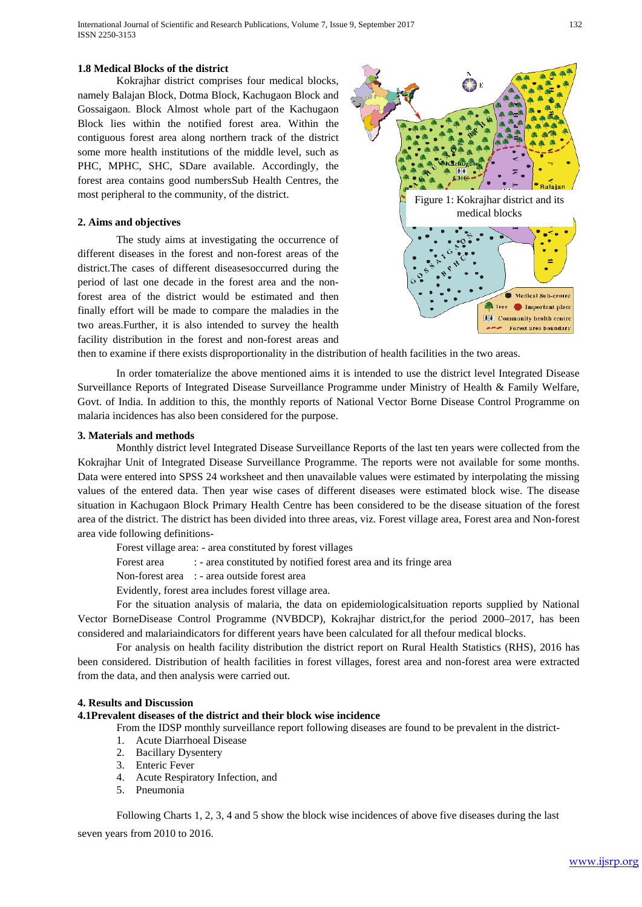International Journal of Scientific and Research Publications, Volume 7, Issue 9, September 2017 132 ISSN 2250-3153

## **1.8 Medical Blocks of the district**

Kokrajhar district comprises four medical blocks, namely Balajan Block, Dotma Block, Kachugaon Block and Gossaigaon. Block Almost whole part of the Kachugaon Block lies within the notified forest area. Within the contiguous forest area along northern track of the district some more health institutions of the middle level, such as PHC, MPHC, SHC, SDare available. Accordingly, the forest area contains good numbersSub Health Centres, the most peripheral to the community, of the district.

### **2. Aims and objectives**

The study aims at investigating the occurrence of different diseases in the forest and non-forest areas of the district.The cases of different diseasesoccurred during the period of last one decade in the forest area and the nonforest area of the district would be estimated and then finally effort will be made to compare the maladies in the two areas.Further, it is also intended to survey the health facility distribution in the forest and non-forest areas and



then to examine if there exists disproportionality in the distribution of health facilities in the two areas.

In order tomaterialize the above mentioned aims it is intended to use the district level Integrated Disease Surveillance Reports of Integrated Disease Surveillance Programme under Ministry of Health & Family Welfare, Govt. of India. In addition to this, the monthly reports of National Vector Borne Disease Control Programme on malaria incidences has also been considered for the purpose.

#### **3. Materials and methods**

Monthly district level Integrated Disease Surveillance Reports of the last ten years were collected from the Kokrajhar Unit of Integrated Disease Surveillance Programme. The reports were not available for some months. Data were entered into SPSS 24 worksheet and then unavailable values were estimated by interpolating the missing values of the entered data. Then year wise cases of different diseases were estimated block wise. The disease situation in Kachugaon Block Primary Health Centre has been considered to be the disease situation of the forest area of the district. The district has been divided into three areas, viz. Forest village area, Forest area and Non-forest area vide following definitions-

Forest village area: - area constituted by forest villages

- Forest area  $\cdots$  : area constituted by notified forest area and its fringe area
- Non-forest area : area outside forest area
- Evidently, forest area includes forest village area.

For the situation analysis of malaria, the data on epidemiologicalsituation reports supplied by National Vector BorneDisease Control Programme (NVBDCP), Kokrajhar district,for the period 2000–2017, has been considered and malariaindicators for different years have been calculated for all thefour medical blocks.

For analysis on health facility distribution the district report on Rural Health Statistics (RHS), 2016 has been considered. Distribution of health facilities in forest villages, forest area and non-forest area were extracted from the data, and then analysis were carried out.

## **4. Results and Discussion**

## **4.1Prevalent diseases of the district and their block wise incidence**

From the IDSP monthly surveillance report following diseases are found to be prevalent in the district-

- 1. Acute Diarrhoeal Disease
- 2. Bacillary Dysentery
- 3. Enteric Fever
- 4. Acute Respiratory Infection, and
- 5. Pneumonia

Following Charts 1, 2, 3, 4 and 5 show the block wise incidences of above five diseases during the last seven years from 2010 to 2016.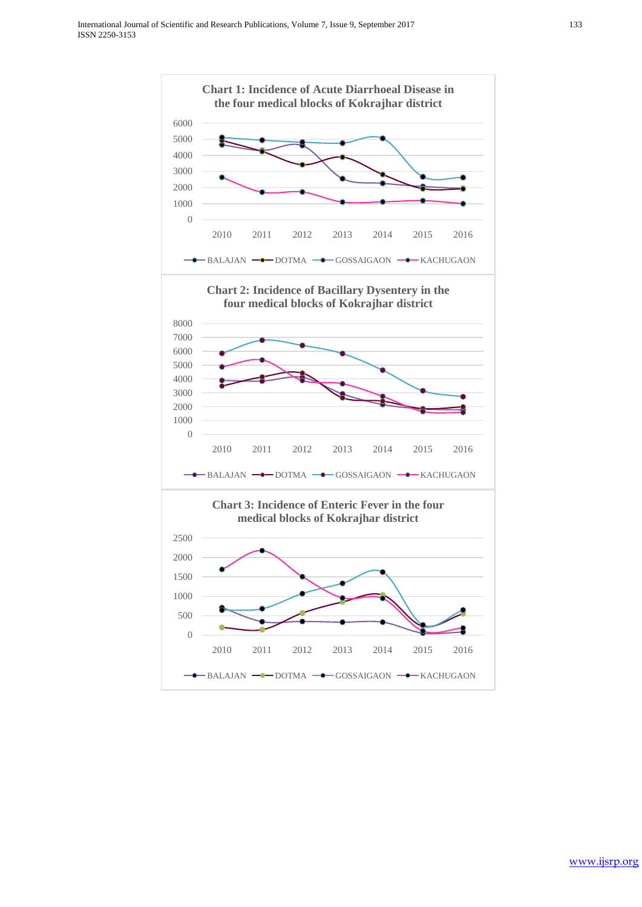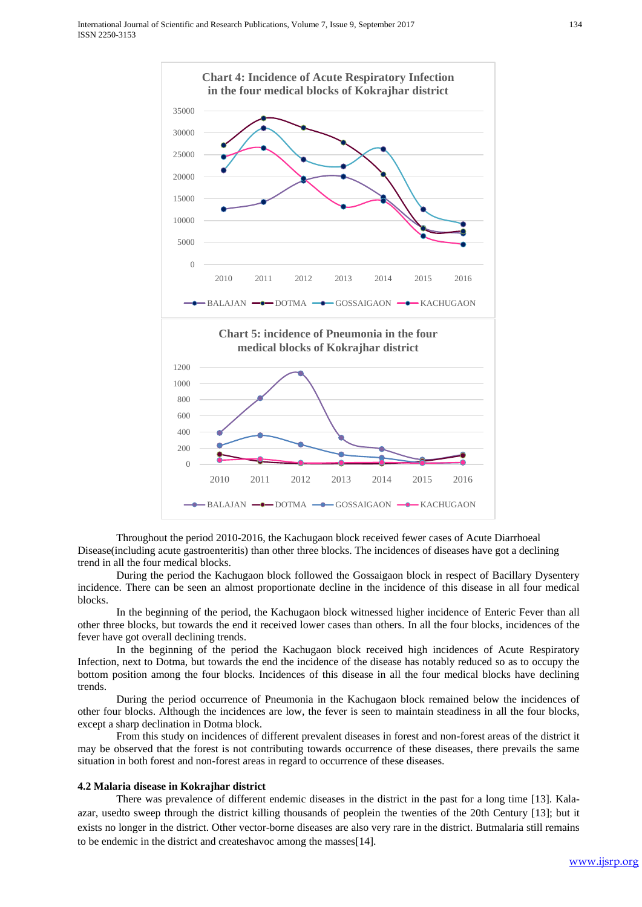

Throughout the period 2010-2016, the Kachugaon block received fewer cases of Acute Diarrhoeal Disease(including acute gastroenteritis) than other three blocks. The incidences of diseases have got a declining trend in all the four medical blocks.

During the period the Kachugaon block followed the Gossaigaon block in respect of Bacillary Dysentery incidence. There can be seen an almost proportionate decline in the incidence of this disease in all four medical blocks.

In the beginning of the period, the Kachugaon block witnessed higher incidence of Enteric Fever than all other three blocks, but towards the end it received lower cases than others. In all the four blocks, incidences of the fever have got overall declining trends.

In the beginning of the period the Kachugaon block received high incidences of Acute Respiratory Infection, next to Dotma, but towards the end the incidence of the disease has notably reduced so as to occupy the bottom position among the four blocks. Incidences of this disease in all the four medical blocks have declining trends.

During the period occurrence of Pneumonia in the Kachugaon block remained below the incidences of other four blocks. Although the incidences are low, the fever is seen to maintain steadiness in all the four blocks, except a sharp declination in Dotma block.

From this study on incidences of different prevalent diseases in forest and non-forest areas of the district it may be observed that the forest is not contributing towards occurrence of these diseases, there prevails the same situation in both forest and non-forest areas in regard to occurrence of these diseases.

## **4.2 Malaria disease in Kokrajhar district**

There was prevalence of different endemic diseases in the district in the past for a long time [13]. Kalaazar, usedto sweep through the district killing thousands of peoplein the twenties of the 20th Century [13]; but it exists no longer in the district. Other vector-borne diseases are also very rare in the district. Butmalaria still remains to be endemic in the district and createshavoc among the masses[14].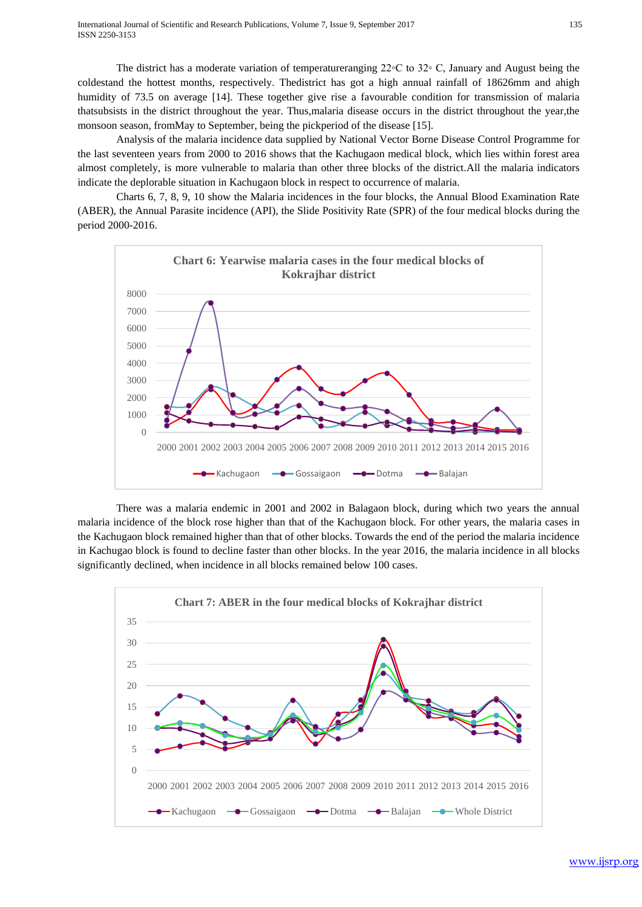The district has a moderate variation of temperatureranging 22◦C to 32◦ C, January and August being the coldestand the hottest months, respectively. Thedistrict has got a high annual rainfall of 18626mm and ahigh humidity of 73.5 on average [14]. These together give rise a favourable condition for transmission of malaria thatsubsists in the district throughout the year. Thus,malaria disease occurs in the district throughout the year,the monsoon season, fromMay to September, being the pickperiod of the disease [15].

Analysis of the malaria incidence data supplied by National Vector Borne Disease Control Programme for the last seventeen years from 2000 to 2016 shows that the Kachugaon medical block, which lies within forest area almost completely, is more vulnerable to malaria than other three blocks of the district.All the malaria indicators indicate the deplorable situation in Kachugaon block in respect to occurrence of malaria.

Charts 6, 7, 8, 9, 10 show the Malaria incidences in the four blocks, the Annual Blood Examination Rate (ABER), the Annual Parasite incidence (API), the Slide Positivity Rate (SPR) of the four medical blocks during the period 2000-2016.



There was a malaria endemic in 2001 and 2002 in Balagaon block, during which two years the annual malaria incidence of the block rose higher than that of the Kachugaon block. For other years, the malaria cases in the Kachugaon block remained higher than that of other blocks. Towards the end of the period the malaria incidence in Kachugao block is found to decline faster than other blocks. In the year 2016, the malaria incidence in all blocks significantly declined, when incidence in all blocks remained below 100 cases.

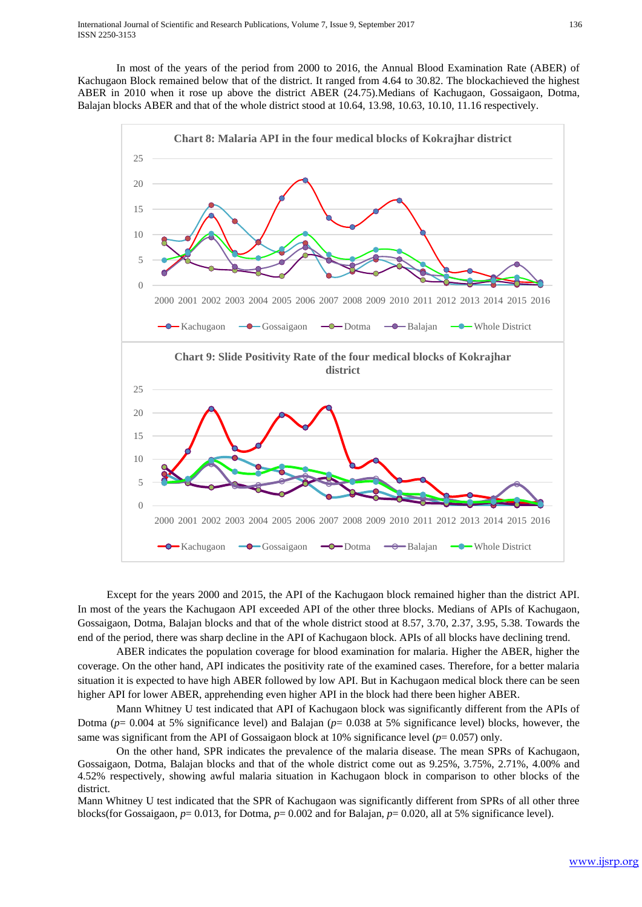In most of the years of the period from 2000 to 2016, the Annual Blood Examination Rate (ABER) of Kachugaon Block remained below that of the district. It ranged from 4.64 to 30.82. The blockachieved the highest ABER in 2010 when it rose up above the district ABER (24.75).Medians of Kachugaon, Gossaigaon, Dotma, Balajan blocks ABER and that of the whole district stood at 10.64, 13.98, 10.63, 10.10, 11.16 respectively.



Except for the years 2000 and 2015, the API of the Kachugaon block remained higher than the district API. In most of the years the Kachugaon API exceeded API of the other three blocks. Medians of APIs of Kachugaon, Gossaigaon, Dotma, Balajan blocks and that of the whole district stood at 8.57, 3.70, 2.37, 3.95, 5.38. Towards the end of the period, there was sharp decline in the API of Kachugaon block. APIs of all blocks have declining trend.

ABER indicates the population coverage for blood examination for malaria. Higher the ABER, higher the coverage. On the other hand, API indicates the positivity rate of the examined cases. Therefore, for a better malaria situation it is expected to have high ABER followed by low API. But in Kachugaon medical block there can be seen higher API for lower ABER, apprehending even higher API in the block had there been higher ABER.

Mann Whitney U test indicated that API of Kachugaon block was significantly different from the APIs of Dotma (*p*= 0.004 at 5% significance level) and Balajan (*p*= 0.038 at 5% significance level) blocks, however, the same was significant from the API of Gossaigaon block at 10% significance level  $(p= 0.057)$  only.

On the other hand, SPR indicates the prevalence of the malaria disease. The mean SPRs of Kachugaon, Gossaigaon, Dotma, Balajan blocks and that of the whole district come out as 9.25%, 3.75%, 2.71%, 4.00% and 4.52% respectively, showing awful malaria situation in Kachugaon block in comparison to other blocks of the district.

Mann Whitney U test indicated that the SPR of Kachugaon was significantly different from SPRs of all other three blocks(for Gossaigaon, *p*= 0.013, for Dotma, *p*= 0.002 and for Balajan, *p*= 0.020, all at 5% significance level).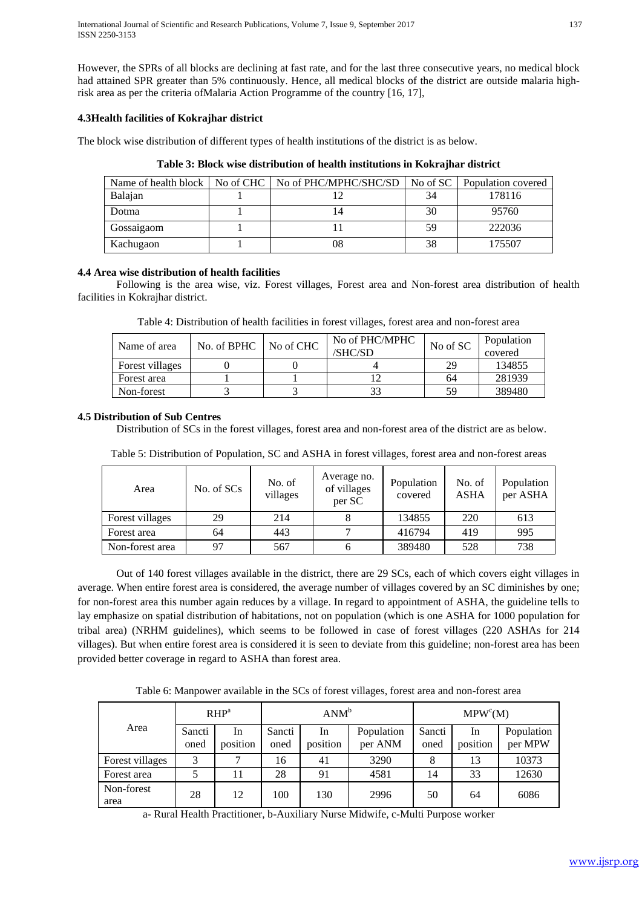However, the SPRs of all blocks are declining at fast rate, and for the last three consecutive years, no medical block had attained SPR greater than 5% continuously. Hence, all medical blocks of the district are outside malaria highrisk area as per the criteria ofMalaria Action Programme of the country [16, 17],

# **4.3Health facilities of Kokrajhar district**

The block wise distribution of different types of health institutions of the district is as below.

|            | Name of health block $\mid$ No of CHC $\mid$ No of PHC/MPHC/SHC/SD | No of $SC$ | <b>Population covered</b> |
|------------|--------------------------------------------------------------------|------------|---------------------------|
| Balajan    |                                                                    | 34         | 178116                    |
| Dotma      | 14                                                                 | 30         | 95760                     |
| Gossaigaom |                                                                    | 59         | 222036                    |
| Kachugaon  | 08                                                                 | 38         | 175507                    |

## **Table 3: Block wise distribution of health institutions in Kokrajhar district**

# **4.4 Area wise distribution of health facilities**

Following is the area wise, viz. Forest villages, Forest area and Non-forest area distribution of health facilities in Kokrajhar district.

Table 4: Distribution of health facilities in forest villages, forest area and non-forest area

| Name of area    | No. of BPHC $\parallel$ No of CHC | No of PHC/MPHC<br>/SHC/SD | No of SC | Population<br>covered |
|-----------------|-----------------------------------|---------------------------|----------|-----------------------|
| Forest villages |                                   |                           | 29       | 134855                |
| Forest area     |                                   |                           | 64       | 281939                |
| Non-forest      |                                   |                           | 59       | 389480                |

# **4.5 Distribution of Sub Centres**

Distribution of SCs in the forest villages, forest area and non-forest area of the district are as below.

Table 5: Distribution of Population, SC and ASHA in forest villages, forest area and non-forest areas

| Area            | No. of SCs | No. of<br>villages | Average no.<br>of villages<br>per SC | Population<br>covered | No. of<br><b>ASHA</b> | Population<br>per ASHA |
|-----------------|------------|--------------------|--------------------------------------|-----------------------|-----------------------|------------------------|
| Forest villages | 29         | 214                |                                      | 134855                | 220                   | 613                    |
| Forest area     | 64         | 443                |                                      | 416794                | 419                   | 995                    |
| Non-forest area | 97         | 567                | h                                    | 389480                | 528                   | 738                    |

Out of 140 forest villages available in the district, there are 29 SCs, each of which covers eight villages in average. When entire forest area is considered, the average number of villages covered by an SC diminishes by one; for non-forest area this number again reduces by a village. In regard to appointment of ASHA, the guideline tells to lay emphasize on spatial distribution of habitations, not on population (which is one ASHA for 1000 population for tribal area) (NRHM guidelines), which seems to be followed in case of forest villages (220 ASHAs for 214 villages). But when entire forest area is considered it is seen to deviate from this guideline; non-forest area has been provided better coverage in regard to ASHA than forest area.

Table 6: Manpower available in the SCs of forest villages, forest area and non-forest area

|                    |                | RHP <sup>a</sup> |                                  | $ANM^b$ |                       | MPW <sup>c</sup> (M)             |    |                       |  |
|--------------------|----------------|------------------|----------------------------------|---------|-----------------------|----------------------------------|----|-----------------------|--|
| Area               | Sancti<br>oned | In<br>position   | Sancti<br>In<br>position<br>oned |         | Population<br>per ANM | Sancti<br>In<br>position<br>oned |    | Population<br>per MPW |  |
| Forest villages    | 3              |                  | 16                               | 41      | 3290                  | 8                                | 13 | 10373                 |  |
| Forest area        |                | 11               | 28                               | 91      | 4581                  | 14                               | 33 | 12630                 |  |
| Non-forest<br>area | 28             | 12               | 100                              | 130     | 2996                  | 50                               | 64 | 6086                  |  |

a- Rural Health Practitioner, b-Auxiliary Nurse Midwife, c-Multi Purpose worker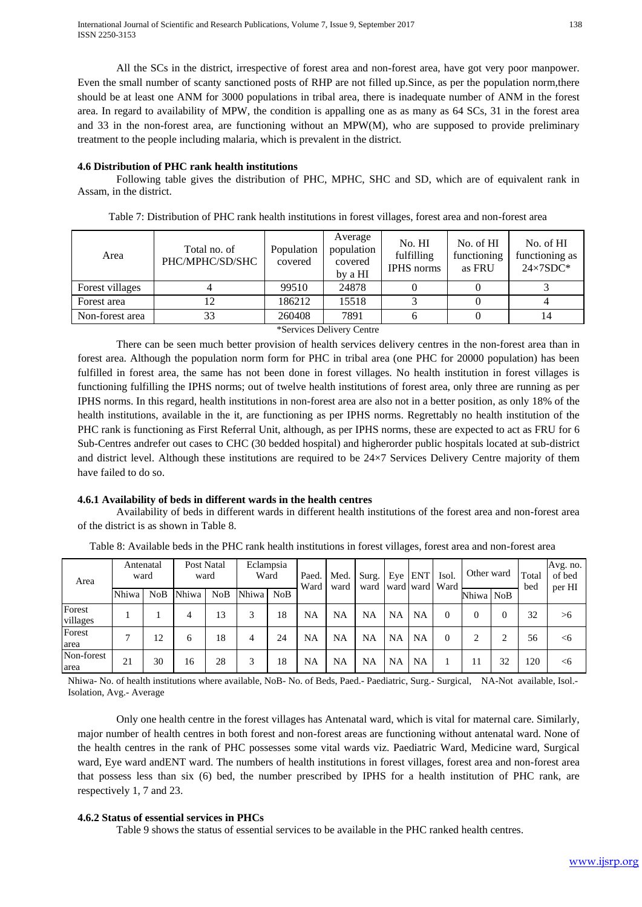All the SCs in the district, irrespective of forest area and non-forest area, have got very poor manpower. Even the small number of scanty sanctioned posts of RHP are not filled up.Since, as per the population norm,there should be at least one ANM for 3000 populations in tribal area, there is inadequate number of ANM in the forest area. In regard to availability of MPW, the condition is appalling one as as many as 64 SCs, 31 in the forest area and 33 in the non-forest area, are functioning without an  $MPW(M)$ , who are supposed to provide preliminary treatment to the people including malaria, which is prevalent in the district.

## **4.6 Distribution of PHC rank health institutions**

Following table gives the distribution of PHC, MPHC, SHC and SD, which are of equivalent rank in Assam, in the district.

| Area            | Total no. of<br>PHC/MPHC/SD/SHC | Population<br>covered | Average<br>population<br>covered<br>by a HI | No. HI<br>fulfilling<br><b>IPHS</b> norms | No. of HI<br>functioning<br>as FRU | No. of HI<br>functioning as<br>$24\times7SDC*$ |
|-----------------|---------------------------------|-----------------------|---------------------------------------------|-------------------------------------------|------------------------------------|------------------------------------------------|
| Forest villages |                                 | 99510                 | 24878                                       |                                           |                                    |                                                |
| Forest area     |                                 | 186212                | 15518                                       |                                           |                                    |                                                |
| Non-forest area | 33                              | 260408                | 7891                                        |                                           |                                    | 14                                             |

Table 7: Distribution of PHC rank health institutions in forest villages, forest area and non-forest area

\*Services Delivery Centre

There can be seen much better provision of health services delivery centres in the non-forest area than in forest area. Although the population norm form for PHC in tribal area (one PHC for 20000 population) has been fulfilled in forest area, the same has not been done in forest villages. No health institution in forest villages is functioning fulfilling the IPHS norms; out of twelve health institutions of forest area, only three are running as per IPHS norms. In this regard, health institutions in non-forest area are also not in a better position, as only 18% of the health institutions, available in the it, are functioning as per IPHS norms. Regrettably no health institution of the PHC rank is functioning as First Referral Unit, although, as per IPHS norms, these are expected to act as FRU for 6 Sub-Centres andrefer out cases to CHC (30 bedded hospital) and higherorder public hospitals located at sub-district and district level. Although these institutions are required to be 24×7 Services Delivery Centre majority of them have failed to do so.

# **4.6.1 Availability of beds in different wards in the health centres**

Availability of beds in different wards in different health institutions of the forest area and non-forest area of the district is as shown in Table 8.

| Area               | Antenatal<br>ward |     |              | Post Natal<br>ward |           | Eclampsia<br>Paed.<br>Ward<br>Ward |    | Med.<br>ward | Surg.     |    | Eye ENT   | Isol.<br>ward ward ward Ward | Other ward  |          | Total<br>bed | Avg. no.<br>of bed<br>per HI |
|--------------------|-------------------|-----|--------------|--------------------|-----------|------------------------------------|----|--------------|-----------|----|-----------|------------------------------|-------------|----------|--------------|------------------------------|
|                    | Nhiwa             | NoB | Nhiwa        | <b>NoB</b>         | Nhiwa NoB |                                    |    |              |           |    |           |                              | Nhiwa   NoB |          |              |                              |
| Forest<br>villages |                   |     | 4            | 13                 |           | 18                                 | NA | NA           | <b>NA</b> | NA | NA        |                              | $\Omega$    | $\Omega$ | 32           | >6                           |
| Forest<br>area     | 7                 | 12  | <sub>6</sub> | 18                 |           | 24                                 | NA | NA           | <b>NA</b> | NA | <b>NA</b> | $\Omega$                     | ◠           | ◠        | 56           | <6                           |
| Non-forest<br>area | 21                | 30  | 16           | 28                 |           | 18                                 | NA | NA           | <b>NA</b> | NA | NA        |                              | 11          | 32       | 120          | $<$ 6                        |

Table 8: Available beds in the PHC rank health institutions in forest villages, forest area and non-forest area

Nhiwa- No. of health institutions where available, NoB- No. of Beds, Paed.- Paediatric, Surg.- Surgical, NA-Not available, Isol.- Isolation, Avg.- Average

Only one health centre in the forest villages has Antenatal ward, which is vital for maternal care. Similarly, major number of health centres in both forest and non-forest areas are functioning without antenatal ward. None of the health centres in the rank of PHC possesses some vital wards viz. Paediatric Ward, Medicine ward, Surgical ward, Eye ward andENT ward. The numbers of health institutions in forest villages, forest area and non-forest area that possess less than six (6) bed, the number prescribed by IPHS for a health institution of PHC rank, are respectively 1, 7 and 23.

# **4.6.2 Status of essential services in PHCs**

Table 9 shows the status of essential services to be available in the PHC ranked health centres.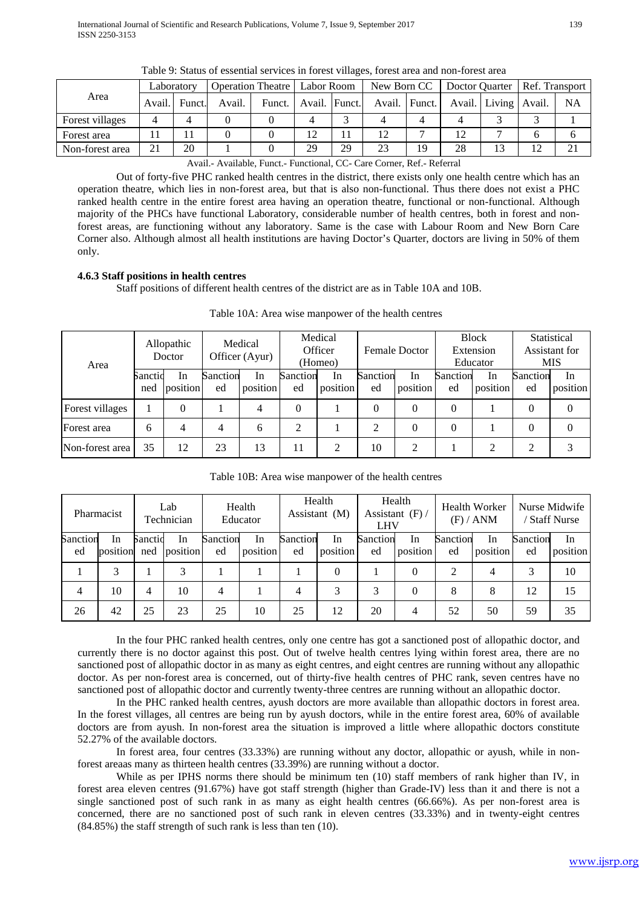|                 | Laboratory |        | <b>Operation Theatre</b>   Labor Room |          |    |    | New Born CC                 |    | Doctor Quarter   Ref. Transport |                |  |           |
|-----------------|------------|--------|---------------------------------------|----------|----|----|-----------------------------|----|---------------------------------|----------------|--|-----------|
| Area            | Avail.     | Funct. | Avail.                                | Funct. 1 |    |    | Avail. Funct. Avail. Funct. |    | Avail. Living Avail.            |                |  | <b>NA</b> |
| Forest villages | 4          | 4      |                                       |          |    |    |                             |    |                                 |                |  |           |
| Forest area     |            |        |                                       |          | 12 | 11 | 12                          |    | 12                              | $\overline{ }$ |  |           |
| Non-forest area |            | 20     |                                       |          | 29 | 29 | 23                          | 19 | 28                              | 13             |  | 21        |

Table 9: Status of essential services in forest villages, forest area and non-forest area

Avail.- Available, Funct.- Functional, CC- Care Corner, Ref.- Referral

Out of forty-five PHC ranked health centres in the district, there exists only one health centre which has an operation theatre, which lies in non-forest area, but that is also non-functional. Thus there does not exist a PHC ranked health centre in the entire forest area having an operation theatre, functional or non-functional. Although majority of the PHCs have functional Laboratory, considerable number of health centres, both in forest and nonforest areas, are functioning without any laboratory. Same is the case with Labour Room and New Born Care Corner also. Although almost all health institutions are having Doctor's Quarter, doctors are living in 50% of them only.

## **4.6.3 Staff positions in health centres**

Staff positions of different health centres of the district are as in Table 10A and 10B.

| Area            | Allopathic<br>Doctor |                 | Medical<br>Officer (Ayur) |                 | Medical<br>Officer<br>(Homeo) |                 | Female Doctor  |                 | <b>Block</b><br>Extension<br>Educator |                 | Statistical<br>Assistant for<br><b>MIS</b> |                |
|-----------------|----------------------|-----------------|---------------------------|-----------------|-------------------------------|-----------------|----------------|-----------------|---------------------------------------|-----------------|--------------------------------------------|----------------|
|                 | Sanctid<br>ned       | In.<br>position | Sanction<br>ed            | In.<br>position | Sanction<br>ed                | In.<br>position | Sanction<br>ed | -In<br>position | Sanction<br>ed                        | -In<br>position | Sanction<br>ed                             | In<br>position |
| Forest villages |                      | 0               |                           | 4               | $\theta$                      |                 | $\Omega$       | $\Omega$        | $\theta$                              |                 | $\theta$                                   | $\Omega$       |
| Forest area     | 6                    | 4               | 4                         | 6               | $\overline{2}$                |                 | $\overline{2}$ | $\Omega$        | $\Omega$                              |                 | $\Omega$                                   | $\theta$       |
| Non-forest area | 35                   | 12              | 23                        | 13              | 11                            |                 | 10             | $\mathfrak{D}$  |                                       |                 | റ                                          | 3              |

Table 10A: Area wise manpower of the health centres

|                | Lab<br>Pharmacist<br>Technician |                |                | Health<br>Educator |                | Health<br>Assistant (M) |                | Health<br>Assistant $(F)$ /<br><b>LHV</b> |                | <b>Health Worker</b><br>(F) / ANM |                | Nurse Midwife<br><b>Staff Nurse</b> |                |
|----------------|---------------------------------|----------------|----------------|--------------------|----------------|-------------------------|----------------|-------------------------------------------|----------------|-----------------------------------|----------------|-------------------------------------|----------------|
| Sanction<br>ed | In<br>position                  | Sanctio<br>ned | In<br>position | Sanction<br>ed     | In<br>position | Sanction<br>ed          | In<br>position | Sanction<br>ed                            | In<br>position | Sanction<br>ed                    | In<br>position | Sanction<br>ed                      | In<br>position |
|                | 3                               |                | 3              |                    |                |                         | $\Omega$       |                                           | $\Omega$       | 2                                 | $\overline{4}$ | 3                                   | 10             |
| $\overline{4}$ | 10                              | $\overline{4}$ | 10             | $\overline{4}$     |                | 4                       | 3              | 3                                         | $\theta$       | 8                                 | 8              | 12                                  | 15             |
| 26             | 42                              | 25             | 23             | 25                 | 10             | 25                      | 12             | 20                                        | 4              | 52                                | 50             | 59                                  | 35             |

Table 10B: Area wise manpower of the health centres

In the four PHC ranked health centres, only one centre has got a sanctioned post of allopathic doctor, and currently there is no doctor against this post. Out of twelve health centres lying within forest area, there are no sanctioned post of allopathic doctor in as many as eight centres, and eight centres are running without any allopathic doctor. As per non-forest area is concerned, out of thirty-five health centres of PHC rank, seven centres have no sanctioned post of allopathic doctor and currently twenty-three centres are running without an allopathic doctor.

In the PHC ranked health centres, ayush doctors are more available than allopathic doctors in forest area. In the forest villages, all centres are being run by ayush doctors, while in the entire forest area, 60% of available doctors are from ayush. In non-forest area the situation is improved a little where allopathic doctors constitute 52.27% of the available doctors.

In forest area, four centres (33.33%) are running without any doctor, allopathic or ayush, while in nonforest areaas many as thirteen health centres (33.39%) are running without a doctor.

While as per IPHS norms there should be minimum ten (10) staff members of rank higher than IV, in forest area eleven centres (91.67%) have got staff strength (higher than Grade-IV) less than it and there is not a single sanctioned post of such rank in as many as eight health centres (66.66%). As per non-forest area is concerned, there are no sanctioned post of such rank in eleven centres (33.33%) and in twenty-eight centres (84.85%) the staff strength of such rank is less than ten (10).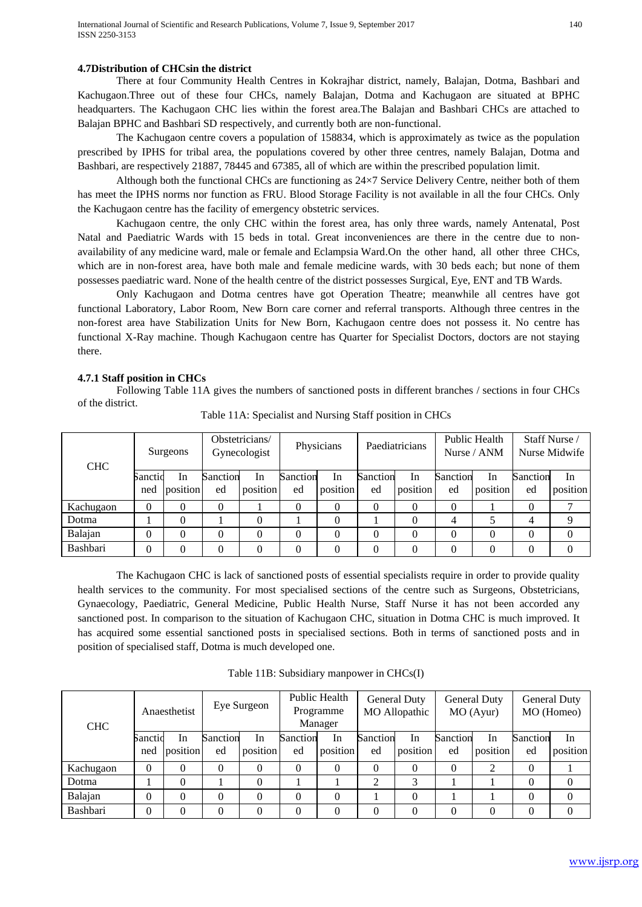#### **4.7Distribution of CHCsin the district**

There at four Community Health Centres in Kokrajhar district, namely, Balajan, Dotma, Bashbari and Kachugaon.Three out of these four CHCs, namely Balajan, Dotma and Kachugaon are situated at BPHC headquarters. The Kachugaon CHC lies within the forest area.The Balajan and Bashbari CHCs are attached to Balajan BPHC and Bashbari SD respectively, and currently both are non-functional.

The Kachugaon centre covers a population of 158834, which is approximately as twice as the population prescribed by IPHS for tribal area, the populations covered by other three centres, namely Balajan, Dotma and Bashbari, are respectively 21887, 78445 and 67385, all of which are within the prescribed population limit.

Although both the functional CHCs are functioning as 24×7 Service Delivery Centre, neither both of them has meet the IPHS norms nor function as FRU. Blood Storage Facility is not available in all the four CHCs. Only the Kachugaon centre has the facility of emergency obstetric services.

Kachugaon centre, the only CHC within the forest area, has only three wards, namely Antenatal, Post Natal and Paediatric Wards with 15 beds in total. Great inconveniences are there in the centre due to nonavailability of any medicine ward, male or female and Eclampsia Ward.On the other hand, all other three CHCs, which are in non-forest area, have both male and female medicine wards, with 30 beds each; but none of them possesses paediatric ward. None of the health centre of the district possesses Surgical, Eye, ENT and TB Wards.

Only Kachugaon and Dotma centres have got Operation Theatre; meanwhile all centres have got functional Laboratory, Labor Room, New Born care corner and referral transports. Although three centres in the non-forest area have Stabilization Units for New Born, Kachugaon centre does not possess it. No centre has functional X-Ray machine. Though Kachugaon centre has Quarter for Specialist Doctors, doctors are not staying there.

## **4.7.1 Staff position in CHCs**

Following Table 11A gives the numbers of sanctioned posts in different branches / sections in four CHCs of the district.

| <b>CHC</b> | Surgeons |          | Obstetricians/<br>Gynecologist |          | Physicians |          | Paediatricians |          | Public Health<br>Nurse / ANM |          | Staff Nurse /<br>Nurse Midwife |          |
|------------|----------|----------|--------------------------------|----------|------------|----------|----------------|----------|------------------------------|----------|--------------------------------|----------|
|            | Sanctid  | In.      | Sanction                       | In       | Sanction   | In.      | Sanction       | -In      | Sanction                     | In.      | Sanction                       | In       |
|            | ned      | position | ed                             | position | ed         | position | ed             | position | ed                           | position | ed                             | position |
| Kachugaon  | 0        |          | 0                              |          |            |          | 0              |          | 0                            |          | $\Omega$                       |          |
| Dotma      |          |          |                                |          |            |          |                | 0        | 4                            |          | 4                              |          |
| Balajan    | 0        |          | $\theta$                       | $\Omega$ | $\Omega$   |          | $\Omega$       | $\Omega$ | $\Omega$                     |          | $\Omega$                       |          |
| Bashbari   | 0        |          | $\Omega$                       | $\Omega$ | $\Omega$   | $\Omega$ | $\theta$       | $\Omega$ | $\Omega$                     |          | $\Omega$                       |          |

Table 11A: Specialist and Nursing Staff position in CHCs

The Kachugaon CHC is lack of sanctioned posts of essential specialists require in order to provide quality health services to the community. For most specialised sections of the centre such as Surgeons, Obstetricians, Gynaecology, Paediatric, General Medicine, Public Health Nurse, Staff Nurse it has not been accorded any sanctioned post. In comparison to the situation of Kachugaon CHC, situation in Dotma CHC is much improved. It has acquired some essential sanctioned posts in specialised sections. Both in terms of sanctioned posts and in position of specialised staff, Dotma is much developed one.

Table 11B: Subsidiary manpower in CHCs(I)

| <b>CHC</b> | Anaesthetist |          | Eye Surgeon |          | Public Health<br>Programme<br>Manager |          | <b>General Duty</b><br>MO Allopathic |          | <b>General Duty</b><br>MO (Ayur) |          | <b>General Duty</b><br>MO (Homeo) |          |
|------------|--------------|----------|-------------|----------|---------------------------------------|----------|--------------------------------------|----------|----------------------------------|----------|-----------------------------------|----------|
|            | Sanctid      | In.      | Sanction    | In       | Sanction                              | In       | Sanction                             | In       | Sanction                         | In       | Sanction                          | In       |
|            | ned          | position | ed          | position | ed                                    | position | ed                                   | position | ed                               | position | ed                                | position |
| Kachugaon  | $\Omega$     | 0        | 0           |          | $\Omega$                              |          | 0                                    |          |                                  |          | $\theta$                          |          |
| Dotma      |              | 0        |             | 0        |                                       |          | 2                                    | 3        |                                  |          | $\Omega$                          |          |
| Balajan    | $\theta$     | 0        | 0           | 0        | 0                                     | $\Omega$ |                                      |          |                                  |          | 0                                 |          |
| Bashbari   | $\Omega$     | 0        | 0           |          | 0                                     |          | 0                                    |          |                                  |          |                                   |          |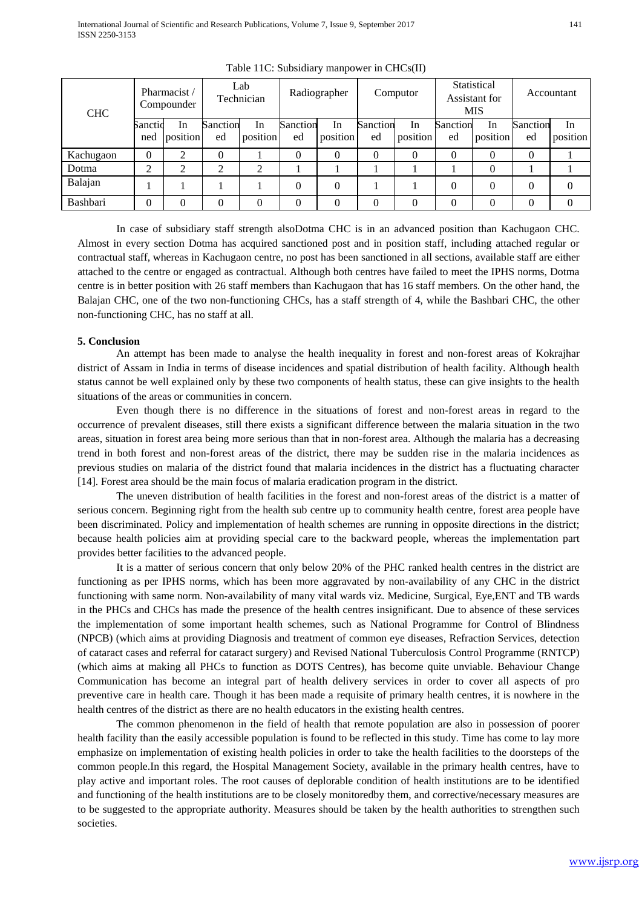| <b>CHC</b> | Pharmacist/<br>Compounder |          | Lab<br>Technician |          | Radiographer |          | Computor |          | Statistical<br>Assistant for<br><b>MIS</b> |          | Accountant |          |
|------------|---------------------------|----------|-------------------|----------|--------------|----------|----------|----------|--------------------------------------------|----------|------------|----------|
|            | Sanctid                   | In       | Sanction          | In       | Sanction     | In       | Sanction | In       | Sanction                                   | -In      | Sanction   | In       |
|            | ned                       | position | ed                | position | ed           | position | ed       | position | ed                                         | position | ed         | position |
| Kachugaon  | $\Omega$                  |          | 0                 |          |              |          | 0        |          |                                            |          | $\Omega$   |          |
| Dotma      | ◠                         | ◠        | ◠<br>∠            |          |              |          |          |          |                                            |          |            |          |
| Balajan    |                           |          |                   |          | 0            |          |          |          | 0                                          |          | $\theta$   | 0        |
| Bashbari   | $\Omega$                  | 0        | 0                 |          |              |          | 0        | $\Omega$ | 0                                          |          | $\theta$   | 0        |

Table 11C: Subsidiary manpower in CHCs(II)

In case of subsidiary staff strength alsoDotma CHC is in an advanced position than Kachugaon CHC. Almost in every section Dotma has acquired sanctioned post and in position staff, including attached regular or contractual staff, whereas in Kachugaon centre, no post has been sanctioned in all sections, available staff are either attached to the centre or engaged as contractual. Although both centres have failed to meet the IPHS norms, Dotma centre is in better position with 26 staff members than Kachugaon that has 16 staff members. On the other hand, the Balajan CHC, one of the two non-functioning CHCs, has a staff strength of 4, while the Bashbari CHC, the other non-functioning CHC, has no staff at all.

## **5. Conclusion**

An attempt has been made to analyse the health inequality in forest and non-forest areas of Kokrajhar district of Assam in India in terms of disease incidences and spatial distribution of health facility. Although health status cannot be well explained only by these two components of health status, these can give insights to the health situations of the areas or communities in concern.

Even though there is no difference in the situations of forest and non-forest areas in regard to the occurrence of prevalent diseases, still there exists a significant difference between the malaria situation in the two areas, situation in forest area being more serious than that in non-forest area. Although the malaria has a decreasing trend in both forest and non-forest areas of the district, there may be sudden rise in the malaria incidences as previous studies on malaria of the district found that malaria incidences in the district has a fluctuating character [14]. Forest area should be the main focus of malaria eradication program in the district.

The uneven distribution of health facilities in the forest and non-forest areas of the district is a matter of serious concern. Beginning right from the health sub centre up to community health centre, forest area people have been discriminated. Policy and implementation of health schemes are running in opposite directions in the district; because health policies aim at providing special care to the backward people, whereas the implementation part provides better facilities to the advanced people.

It is a matter of serious concern that only below 20% of the PHC ranked health centres in the district are functioning as per IPHS norms, which has been more aggravated by non-availability of any CHC in the district functioning with same norm. Non-availability of many vital wards viz. Medicine, Surgical, Eye,ENT and TB wards in the PHCs and CHCs has made the presence of the health centres insignificant. Due to absence of these services the implementation of some important health schemes, such as National Programme for Control of Blindness (NPCB) (which aims at providing Diagnosis and treatment of common eye diseases, Refraction Services, detection of cataract cases and referral for cataract surgery) and Revised National Tuberculosis Control Programme (RNTCP) (which aims at making all PHCs to function as DOTS Centres), has become quite unviable. Behaviour Change Communication has become an integral part of health delivery services in order to cover all aspects of pro preventive care in health care. Though it has been made a requisite of primary health centres, it is nowhere in the health centres of the district as there are no health educators in the existing health centres.

The common phenomenon in the field of health that remote population are also in possession of poorer health facility than the easily accessible population is found to be reflected in this study. Time has come to lay more emphasize on implementation of existing health policies in order to take the health facilities to the doorsteps of the common people.In this regard, the Hospital Management Society, available in the primary health centres, have to play active and important roles. The root causes of deplorable condition of health institutions are to be identified and functioning of the health institutions are to be closely monitoredby them, and corrective/necessary measures are to be suggested to the appropriate authority. Measures should be taken by the health authorities to strengthen such societies.